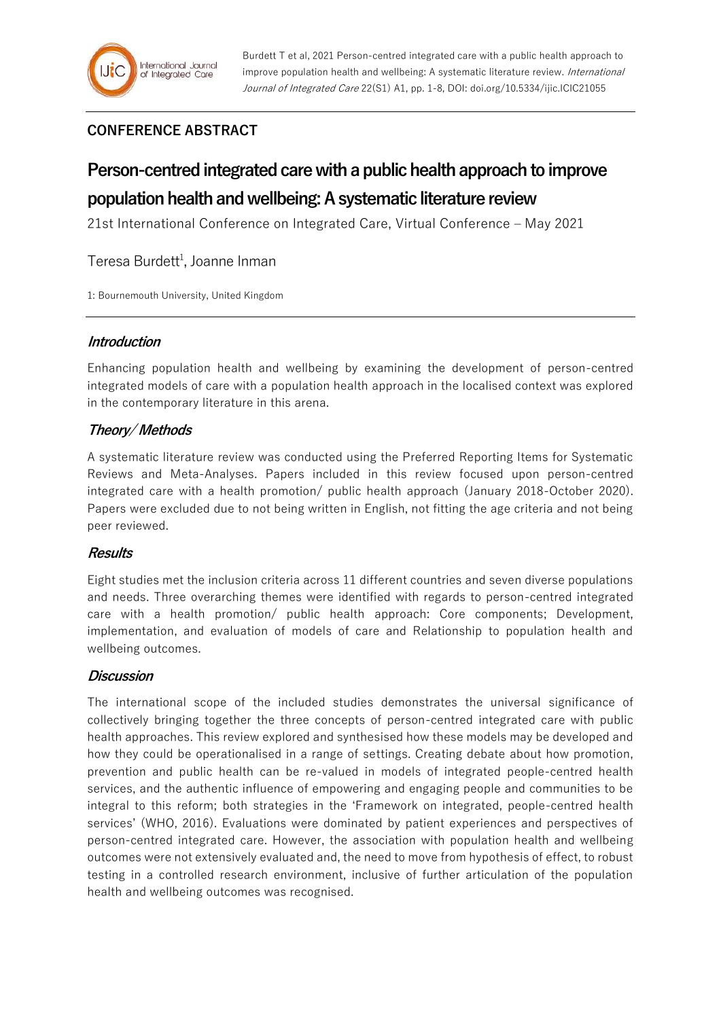# **CONFERENCE ABSTRACT**

# **Person-centred integrated care with a public health approach to improve population health and wellbeing: A systematic literature review**

21st International Conference on Integrated Care, Virtual Conference – May 2021

Teresa Burdett<sup>1</sup>, Joanne Inman

1: Bournemouth University, United Kingdom

## **Introduction**

Enhancing population health and wellbeing by examining the development of person-centred integrated models of care with a population health approach in the localised context was explored in the contemporary literature in this arena.

## **Theory/ Methods**

A systematic literature review was conducted using the Preferred Reporting Items for Systematic Reviews and Meta-Analyses. Papers included in this review focused upon person-centred integrated care with a health promotion/ public health approach (January 2018-October 2020). Papers were excluded due to not being written in English, not fitting the age criteria and not being peer reviewed.

#### **Results**

Eight studies met the inclusion criteria across 11 different countries and seven diverse populations and needs. Three overarching themes were identified with regards to person-centred integrated care with a health promotion/ public health approach: Core components; Development, implementation, and evaluation of models of care and Relationship to population health and wellbeing outcomes.

#### **Discussion**

The international scope of the included studies demonstrates the universal significance of collectively bringing together the three concepts of person-centred integrated care with public health approaches. This review explored and synthesised how these models may be developed and how they could be operationalised in a range of settings. Creating debate about how promotion, prevention and public health can be re-valued in models of integrated people-centred health services, and the authentic influence of empowering and engaging people and communities to be integral to this reform; both strategies in the 'Framework on integrated, people-centred health services' (WHO, 2016). Evaluations were dominated by patient experiences and perspectives of person-centred integrated care. However, the association with population health and wellbeing outcomes were not extensively evaluated and, the need to move from hypothesis of effect, to robust testing in a controlled research environment, inclusive of further articulation of the population health and wellbeing outcomes was recognised.